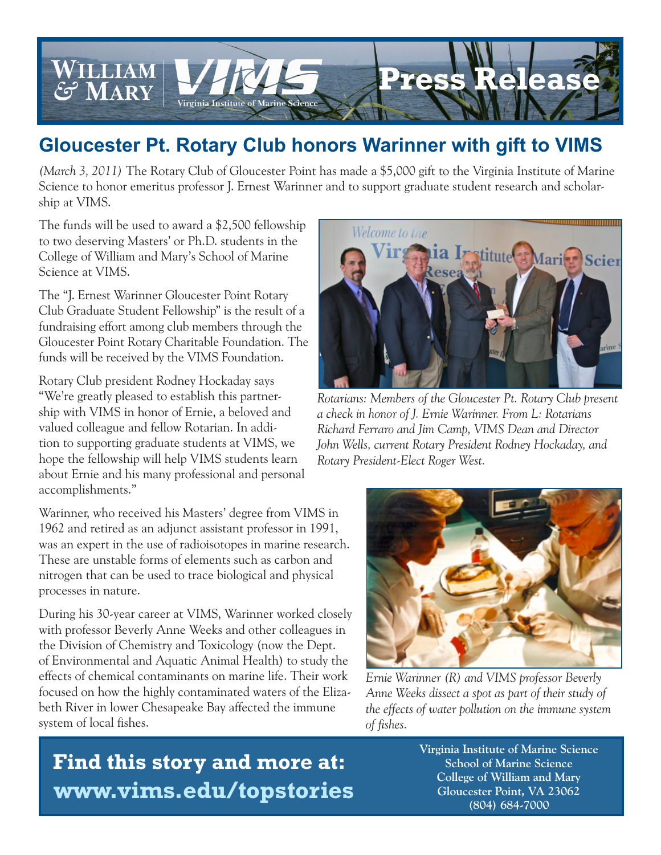

## **Gloucester Pt. Rotary Club honors Warinner with gift to VIMS**

*(March 3, 2011)* The Rotary Club of Gloucester Point has made a \$5,000 gift to the Virginia Institute of Marine Science to honor emeritus professor J. Ernest Warinner and to support graduate student research and scholarship at VIMS.

The funds will be used to award a \$2,500 fellowship to two deserving Masters' or Ph.D. students in the College of William and Mary's School of Marine Science at VIMS.

The "J. Ernest Warinner Gloucester Point Rotary Club Graduate Student Fellowship" is the result of a fundraising effort among club members through the Gloucester Point Rotary Charitable Foundation. The funds will be received by the VIMS Foundation.

Rotary Club president Rodney Hockaday says "We're greatly pleased to establish this partnership with VIMS in honor of Ernie, a beloved and valued colleague and fellow Rotarian. In addition to supporting graduate students at VIMS, we hope the fellowship will help VIMS students learn about Ernie and his many professional and personal accomplishments."

Warinner, who received his Masters' degree from VIMS in 1962 and retired as an adjunct assistant professor in 1991, was an expert in the use of radioisotopes in marine research. These are unstable forms of elements such as carbon and nitrogen that can be used to trace biological and physical processes in nature.

During his 30-year career at VIMS, Warinner worked closely with professor Beverly Anne Weeks and other colleagues in the Division of Chemistry and Toxicology (now the Dept. of Environmental and Aquatic Animal Health) to study the effects of chemical contaminants on marine life. Their work focused on how the highly contaminated waters of the Elizabeth River in lower Chesapeake Bay affected the immune system of local fishes.



*Rotarians: Members of the Gloucester Pt. Rotary Club present a check in honor of J. Ernie Warinner. From L: Rotarians Richard Ferraro and Jim Camp, VIMS Dean and Director John Wells, current Rotary President Rodney Hockaday, and Rotary President-Elect Roger West.*



*Ernie Warinner (R) and VIMS professor Beverly Anne Weeks dissect a spot as part of their study of the effects of water pollution on the immune system of fishes.*

 **Find this story and more at: www.vims.edu/topstories**  **Virginia Institute of Marine Science School of Marine Science College of William and Mary Gloucester Point, VA 23062 (804) 684-7000**